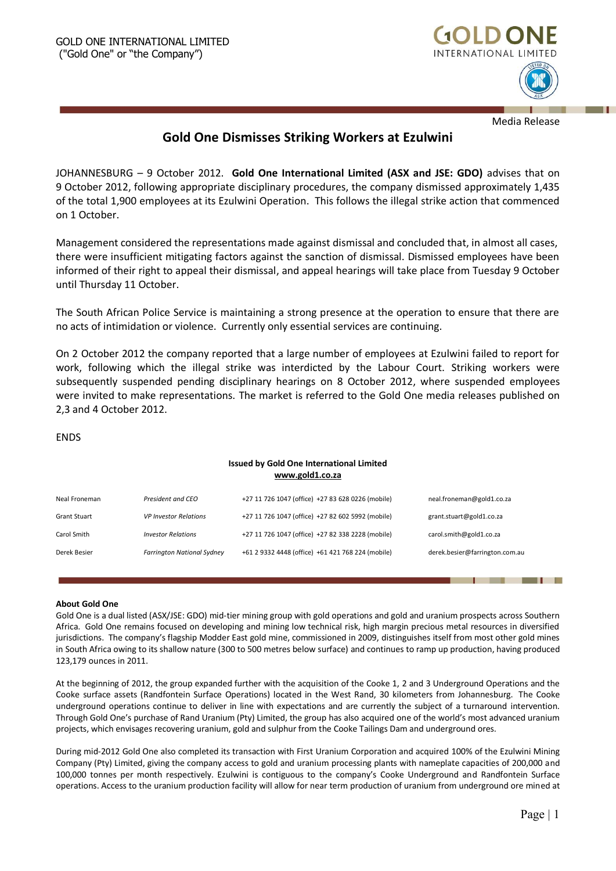

Media Release

# **Gold One Dismisses Striking Workers at Ezulwini**

JOHANNESBURG – 9 October 2012. **Gold One International Limited (ASX and JSE: GDO)** advises that on 9 October 2012, following appropriate disciplinary procedures, the company dismissed approximately 1,435 of the total 1,900 employees at its Ezulwini Operation. This follows the illegal strike action that commenced on 1 October.

Management considered the representations made against dismissal and concluded that, in almost all cases, there were insufficient mitigating factors against the sanction of dismissal. Dismissed employees have been informed of their right to appeal their dismissal, and appeal hearings will take place from Tuesday 9 October until Thursday 11 October.

The South African Police Service is maintaining a strong presence at the operation to ensure that there are no acts of intimidation or violence. Currently only essential services are continuing.

On 2 October 2012 the company reported that a large number of employees at Ezulwini failed to report for work, following which the illegal strike was interdicted by the Labour Court. Striking workers were subsequently suspended pending disciplinary hearings on 8 October 2012, where suspended employees were invited to make representations. The market is referred to the Gold One media releases published on 2,3 and 4 October 2012.

## ENDS

## **Issued by Gold One International Limited [www.gold1.co.za](http://www.gold1.co.za/)**

| Neal Froneman       | President and CEO                 | +27 11 726 1047 (office) +27 83 628 0226 (mobile) | neal.froneman@gold1.co.za      |
|---------------------|-----------------------------------|---------------------------------------------------|--------------------------------|
| <b>Grant Stuart</b> | <b>VP Investor Relations</b>      | +27 11 726 1047 (office) +27 82 602 5992 (mobile) | grant.stuart@gold1.co.za       |
| Carol Smith         | <b>Investor Relations</b>         | +27 11 726 1047 (office) +27 82 338 2228 (mobile) | carol.smith@gold1.co.za        |
| Derek Besier        | <b>Farrington National Sydney</b> | +61 2 9332 4448 (office) +61 421 768 224 (mobile) | derek.besier@farrington.com.au |

#### **About Gold One**

Gold One is a dual listed (ASX/JSE: GDO) mid-tier mining group with gold operations and gold and uranium prospects across Southern Africa. Gold One remains focused on developing and mining low technical risk, high margin precious metal resources in diversified jurisdictions. The company's flagship Modder East gold mine, commissioned in 2009, distinguishes itself from most other gold mines in South Africa owing to its shallow nature (300 to 500 metres below surface) and continues to ramp up production, having produced 123,179 ounces in 2011.

At the beginning of 2012, the group expanded further with the acquisition of the Cooke 1, 2 and 3 Underground Operations and the Cooke surface assets (Randfontein Surface Operations) located in the West Rand, 30 kilometers from Johannesburg. The Cooke underground operations continue to deliver in line with expectations and are currently the subject of a turnaround intervention. Through Gold One's purchase of Rand Uranium (Pty) Limited, the group has also acquired one of the world's most advanced uranium projects, which envisages recovering uranium, gold and sulphur from the Cooke Tailings Dam and underground ores.

During mid-2012 Gold One also completed its transaction with First Uranium Corporation and acquired 100% of the Ezulwini Mining Company (Pty) Limited, giving the company access to gold and uranium processing plants with nameplate capacities of 200,000 and 100,000 tonnes per month respectively. Ezulwini is contiguous to the company's Cooke Underground and Randfontein Surface operations. Access to the uranium production facility will allow for near term production of uranium from underground ore mined at

l 11